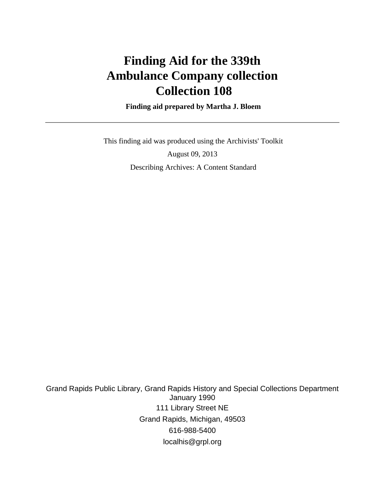# **Finding Aid for the 339th Ambulance Company collection Collection 108**

 **Finding aid prepared by Martha J. Bloem**

 This finding aid was produced using the Archivists' Toolkit August 09, 2013 Describing Archives: A Content Standard

Grand Rapids Public Library, Grand Rapids History and Special Collections Department January 1990 111 Library Street NE Grand Rapids, Michigan, 49503 616-988-5400 localhis@grpl.org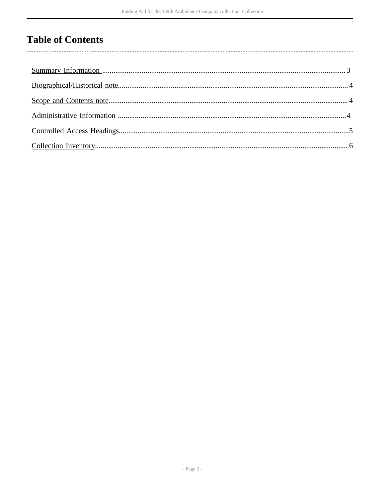# **Table of Contents**

 $\overline{\phantom{a}}$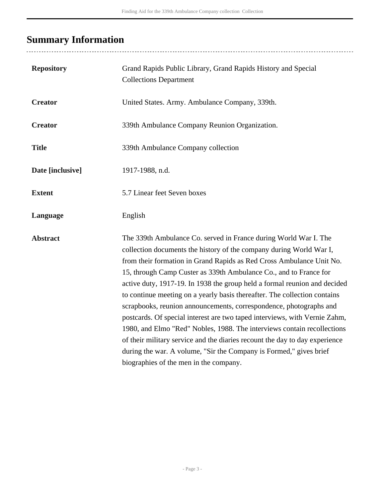# <span id="page-2-0"></span>**Summary Information**

| <b>Repository</b> | Grand Rapids Public Library, Grand Rapids History and Special<br><b>Collections Department</b>                                                                                                                                                                                                                                                                                                                                                                                                                                                                                                                                                                                                                                                                                                                                                                               |
|-------------------|------------------------------------------------------------------------------------------------------------------------------------------------------------------------------------------------------------------------------------------------------------------------------------------------------------------------------------------------------------------------------------------------------------------------------------------------------------------------------------------------------------------------------------------------------------------------------------------------------------------------------------------------------------------------------------------------------------------------------------------------------------------------------------------------------------------------------------------------------------------------------|
| <b>Creator</b>    | United States. Army. Ambulance Company, 339th.                                                                                                                                                                                                                                                                                                                                                                                                                                                                                                                                                                                                                                                                                                                                                                                                                               |
| <b>Creator</b>    | 339th Ambulance Company Reunion Organization.                                                                                                                                                                                                                                                                                                                                                                                                                                                                                                                                                                                                                                                                                                                                                                                                                                |
| <b>Title</b>      | 339th Ambulance Company collection                                                                                                                                                                                                                                                                                                                                                                                                                                                                                                                                                                                                                                                                                                                                                                                                                                           |
| Date [inclusive]  | 1917-1988, n.d.                                                                                                                                                                                                                                                                                                                                                                                                                                                                                                                                                                                                                                                                                                                                                                                                                                                              |
| <b>Extent</b>     | 5.7 Linear feet Seven boxes                                                                                                                                                                                                                                                                                                                                                                                                                                                                                                                                                                                                                                                                                                                                                                                                                                                  |
| Language          | English                                                                                                                                                                                                                                                                                                                                                                                                                                                                                                                                                                                                                                                                                                                                                                                                                                                                      |
| <b>Abstract</b>   | The 339th Ambulance Co. served in France during World War I. The<br>collection documents the history of the company during World War I,<br>from their formation in Grand Rapids as Red Cross Ambulance Unit No.<br>15, through Camp Custer as 339th Ambulance Co., and to France for<br>active duty, 1917-19. In 1938 the group held a formal reunion and decided<br>to continue meeting on a yearly basis thereafter. The collection contains<br>scrapbooks, reunion announcements, correspondence, photographs and<br>postcards. Of special interest are two taped interviews, with Vernie Zahm,<br>1980, and Elmo "Red" Nobles, 1988. The interviews contain recollections<br>of their military service and the diaries recount the day to day experience<br>during the war. A volume, "Sir the Company is Formed," gives brief<br>biographies of the men in the company. |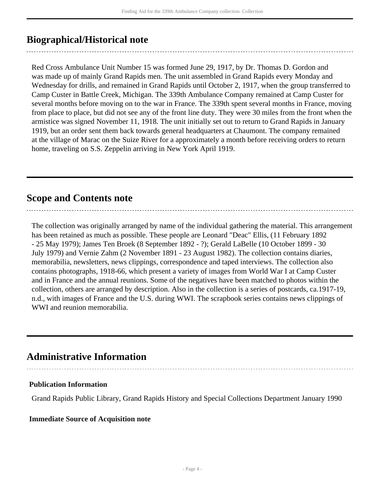## <span id="page-3-0"></span>**Biographical/Historical note**

Red Cross Ambulance Unit Number 15 was formed June 29, 1917, by Dr. Thomas D. Gordon and was made up of mainly Grand Rapids men. The unit assembled in Grand Rapids every Monday and Wednesday for drills, and remained in Grand Rapids until October 2, 1917, when the group transferred to Camp Custer in Battle Creek, Michigan. The 339th Ambulance Company remained at Camp Custer for several months before moving on to the war in France. The 339th spent several months in France, moving from place to place, but did not see any of the front line duty. They were 30 miles from the front when the armistice was signed November 11, 1918. The unit initially set out to return to Grand Rapids in January 1919, but an order sent them back towards general headquarters at Chaumont. The company remained at the village of Marac on the Suize River for a approximately a month before receiving orders to return home, traveling on S.S. Zeppelin arriving in New York April 1919.

### <span id="page-3-1"></span>**Scope and Contents note**

The collection was originally arranged by name of the individual gathering the material. This arrangement has been retained as much as possible. These people are Leonard "Deac" Ellis, (11 February 1892 - 25 May 1979); James Ten Broek (8 September 1892 - ?); Gerald LaBelle (10 October 1899 - 30 July 1979) and Vernie Zahm (2 November 1891 - 23 August 1982). The collection contains diaries, memorabilia, newsletters, news clippings, correspondence and taped interviews. The collection also contains photographs, 1918-66, which present a variety of images from World War I at Camp Custer and in France and the annual reunions. Some of the negatives have been matched to photos within the collection, others are arranged by description. Also in the collection is a series of postcards, ca.1917-19, n.d., with images of France and the U.S. during WWI. The scrapbook series contains news clippings of WWI and reunion memorabilia.

### <span id="page-3-2"></span>**Administrative Information**

#### **Publication Information**

Grand Rapids Public Library, Grand Rapids History and Special Collections Department January 1990

#### **Immediate Source of Acquisition note**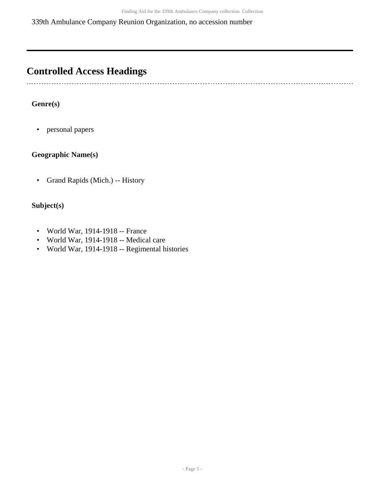339th Ambulance Company Reunion Organization, no accession number

# <span id="page-4-0"></span>**Controlled Access Headings**

. . . . . . . 

#### **Genre(s)**

• personal papers

#### **Geographic Name(s)**

• Grand Rapids (Mich.) -- History

#### **Subject(s)**

- World War, 1914-1918 -- France
- World War, 1914-1918 -- Medical care
- World War, 1914-1918 -- Regimental histories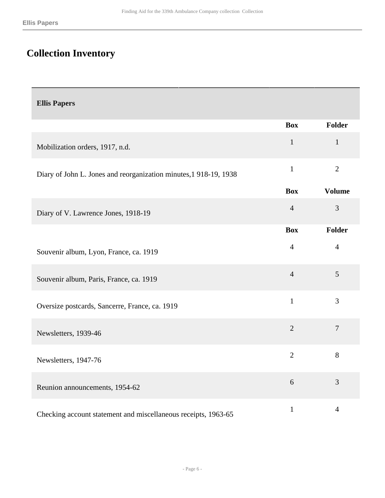# <span id="page-5-0"></span>**Collection Inventory**

| <b>Ellis Papers</b>                                              |                |                |
|------------------------------------------------------------------|----------------|----------------|
|                                                                  | <b>Box</b>     | Folder         |
| Mobilization orders, 1917, n.d.                                  | $\mathbf{1}$   | $\mathbf{1}$   |
| Diary of John L. Jones and reorganization minutes, 1918-19, 1938 | $\mathbf{1}$   | $\overline{2}$ |
|                                                                  | <b>Box</b>     | <b>Volume</b>  |
| Diary of V. Lawrence Jones, 1918-19                              | $\overline{4}$ | 3              |
|                                                                  | <b>Box</b>     | Folder         |
| Souvenir album, Lyon, France, ca. 1919                           | $\overline{4}$ | $\overline{4}$ |
| Souvenir album, Paris, France, ca. 1919                          | $\overline{4}$ | 5              |
| Oversize postcards, Sancerre, France, ca. 1919                   | $\mathbf{1}$   | 3              |
| Newsletters, 1939-46                                             | $\overline{2}$ | $\overline{7}$ |
| Newsletters, 1947-76                                             | $\overline{2}$ | 8              |
| Reunion announcements, 1954-62                                   | 6              | 3              |
| Checking account statement and miscellaneous receipts, 1963-65   | $\mathbf{1}$   | $\overline{4}$ |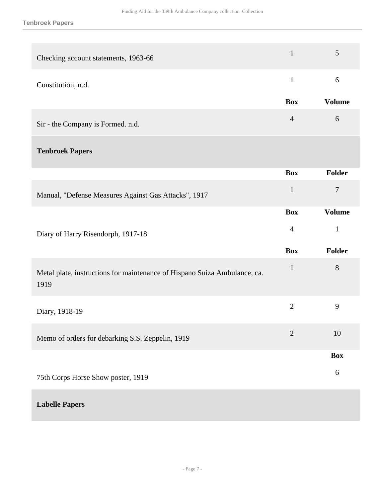| Checking account statements, 1963-66                                              | $\mathbf{1}$   | 5              |
|-----------------------------------------------------------------------------------|----------------|----------------|
| Constitution, n.d.                                                                | $\mathbf{1}$   | 6              |
|                                                                                   | <b>Box</b>     | <b>Volume</b>  |
| Sir - the Company is Formed. n.d.                                                 | $\overline{4}$ | $6\,$          |
| <b>Tenbroek Papers</b>                                                            |                |                |
|                                                                                   | <b>Box</b>     | Folder         |
| Manual, "Defense Measures Against Gas Attacks", 1917                              | $\mathbf{1}$   | $\overline{7}$ |
|                                                                                   | <b>Box</b>     | <b>Volume</b>  |
| Diary of Harry Risendorph, 1917-18                                                | $\overline{4}$ | $\mathbf{1}$   |
|                                                                                   | <b>Box</b>     | Folder         |
| Metal plate, instructions for maintenance of Hispano Suiza Ambulance, ca.<br>1919 | $\mathbf{1}$   | 8              |
| Diary, 1918-19                                                                    | $\overline{2}$ | 9              |
| Memo of orders for debarking S.S. Zeppelin, 1919                                  | $\overline{2}$ | 10             |
|                                                                                   |                | <b>Box</b>     |
| 75th Corps Horse Show poster, 1919                                                |                | 6              |

#### **Labelle Papers**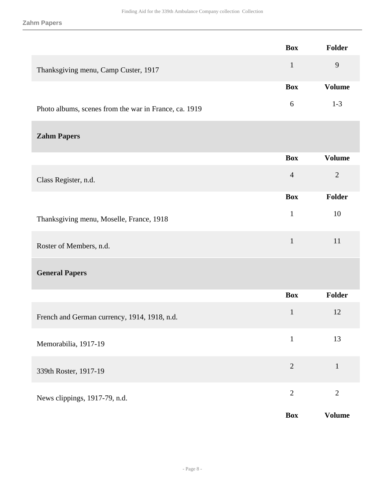#### **Zahm Papers**

|                                                       | <b>Box</b>     | Folder         |
|-------------------------------------------------------|----------------|----------------|
| Thanksgiving menu, Camp Custer, 1917                  | $\mathbf{1}$   | $\overline{9}$ |
|                                                       | <b>Box</b>     | <b>Volume</b>  |
| Photo albums, scenes from the war in France, ca. 1919 | 6              | $1 - 3$        |
| <b>Zahm Papers</b>                                    |                |                |
|                                                       | <b>Box</b>     | <b>Volume</b>  |
| Class Register, n.d.                                  | $\overline{4}$ | $\mathbf{2}$   |
|                                                       | <b>Box</b>     | <b>Folder</b>  |
| Thanksgiving menu, Moselle, France, 1918              | $\mathbf{1}$   | 10             |
| Roster of Members, n.d.                               | $\mathbf{1}$   | 11             |
| <b>General Papers</b>                                 |                |                |
|                                                       | <b>Box</b>     | <b>Folder</b>  |
| French and German currency, 1914, 1918, n.d.          | $\mathbf{1}$   | 12             |
| Memorabilia, 1917-19                                  | $\mathbf{1}$   | 13             |
| 339th Roster, 1917-19                                 | $\overline{2}$ | $\mathbf{1}$   |
| News clippings, 1917-79, n.d.                         | $\overline{2}$ | $\mathbf{2}$   |
|                                                       | <b>Box</b>     | <b>Volume</b>  |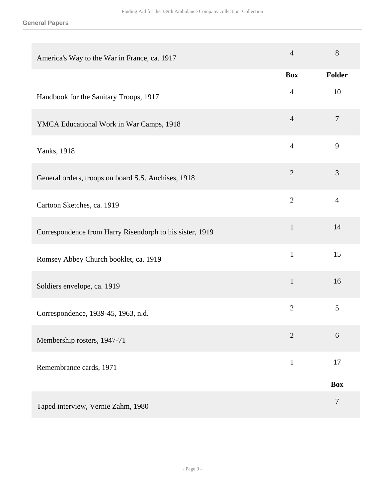#### **General Papers**

| America's Way to the War in France, ca. 1917             | $\overline{4}$ | 8              |
|----------------------------------------------------------|----------------|----------------|
|                                                          | <b>Box</b>     | <b>Folder</b>  |
| Handbook for the Sanitary Troops, 1917                   | $\overline{4}$ | 10             |
| YMCA Educational Work in War Camps, 1918                 | $\overline{4}$ | $\tau$         |
| Yanks, 1918                                              | $\overline{4}$ | 9              |
| General orders, troops on board S.S. Anchises, 1918      | $\overline{2}$ | 3              |
| Cartoon Sketches, ca. 1919                               | $\overline{2}$ | $\overline{4}$ |
| Correspondence from Harry Risendorph to his sister, 1919 | $\mathbf{1}$   | 14             |
| Romsey Abbey Church booklet, ca. 1919                    | $\mathbf{1}$   | 15             |
| Soldiers envelope, ca. 1919                              | $\mathbf{1}$   | 16             |
| Correspondence, 1939-45, 1963, n.d.                      | $\overline{2}$ | 5              |
| Membership rosters, 1947-71                              | $\overline{2}$ | 6              |
| Remembrance cards, 1971                                  | $\mathbf{1}$   | 17             |
|                                                          |                | <b>Box</b>     |
| Taped interview, Vernie Zahm, 1980                       |                | $\overline{7}$ |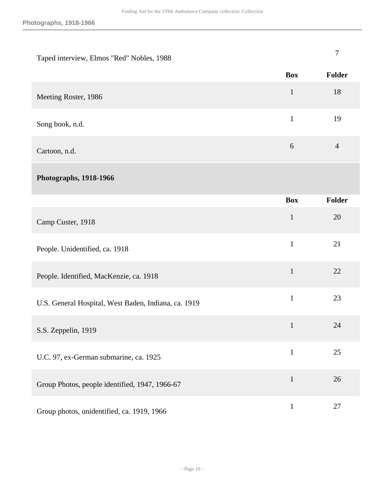| Taped interview, Elmos "Red" Nobles, 1988            |              | $\tau$         |
|------------------------------------------------------|--------------|----------------|
|                                                      | <b>Box</b>   | Folder         |
| Meeting Roster, 1986                                 | $\mathbf{1}$ | 18             |
| Song book, n.d.                                      | $\mathbf{1}$ | 19             |
| Cartoon, n.d.                                        | 6            | $\overline{4}$ |
| Photographs, 1918-1966                               |              |                |
|                                                      | <b>Box</b>   | Folder         |
| Camp Custer, 1918                                    | $\mathbf{1}$ | 20             |
| People. Unidentified, ca. 1918                       | $\mathbf{1}$ | 21             |
| People. Identified, MacKenzie, ca. 1918              | $\mathbf{1}$ | 22             |
| U.S. General Hospital, West Baden, Indiana, ca. 1919 | $\mathbf{1}$ | 23             |
| S.S. Zeppelin, 1919                                  | $\mathbf{1}$ | 24             |
| U.C. 97, ex-German submarine, ca. 1925               | $\mathbf{1}$ | 25             |
| Group Photos, people identified, 1947, 1966-67       | $\mathbf{1}$ | 26             |
| Group photos, unidentified, ca. 1919, 1966           | $\mathbf{1}$ | 27             |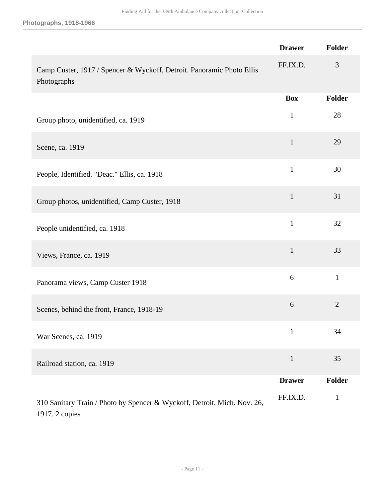**Photographs, 1918-1966**

|                                                                                            | <b>Drawer</b> | <b>Folder</b>  |
|--------------------------------------------------------------------------------------------|---------------|----------------|
| Camp Custer, 1917 / Spencer & Wyckoff, Detroit. Panoramic Photo Ellis<br>Photographs       | FF.IX.D.      | 3              |
|                                                                                            | <b>Box</b>    | <b>Folder</b>  |
| Group photo, unidentified, ca. 1919                                                        | $\mathbf{1}$  | 28             |
| Scene, ca. 1919                                                                            | $\mathbf{1}$  | 29             |
| People, Identified. "Deac." Ellis, ca. 1918                                                | $\mathbf{1}$  | 30             |
| Group photos, unidentified, Camp Custer, 1918                                              | $\mathbf{1}$  | 31             |
| People unidentified, ca. 1918                                                              | $\mathbf{1}$  | 32             |
| Views, France, ca. 1919                                                                    | $\mathbf{1}$  | 33             |
| Panorama views, Camp Custer 1918                                                           | 6             | $\mathbf{1}$   |
| Scenes, behind the front, France, 1918-19                                                  | 6             | $\overline{2}$ |
| War Scenes, ca. 1919                                                                       | $\mathbf{1}$  | 34             |
| Railroad station, ca. 1919                                                                 | $\mathbf{1}$  | 35             |
|                                                                                            | <b>Drawer</b> | <b>Folder</b>  |
| 310 Sanitary Train / Photo by Spencer & Wyckoff, Detroit, Mich. Nov. 26,<br>1917. 2 copies | FF.IX.D.      | $\mathbf{1}$   |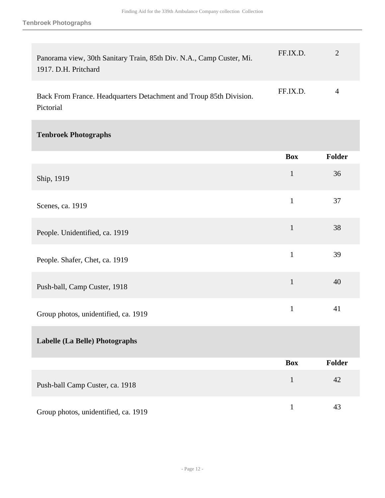| Panorama view, 30th Sanitary Train, 85th Div. N.A., Camp Custer, Mi.<br>1917. D.H. Pritchard | FF.IX.D. |  |
|----------------------------------------------------------------------------------------------|----------|--|
| Back From France. Headquarters Detachment and Troup 85th Division.<br>Pictorial              | FF.IX.D. |  |

### **Tenbroek Photographs**

|                                      | <b>Box</b>   | Folder |
|--------------------------------------|--------------|--------|
| Ship, 1919                           | $\mathbf 1$  | 36     |
| Scenes, ca. 1919                     | $\mathbf{1}$ | 37     |
| People. Unidentified, ca. 1919       | $\mathbf{1}$ | 38     |
| People. Shafer, Chet, ca. 1919       | $\mathbf{1}$ | 39     |
| Push-ball, Camp Custer, 1918         | $\mathbf{1}$ | 40     |
| Group photos, unidentified, ca. 1919 | $\mathbf{1}$ | 41     |
| Labelle (La Belle) Photographs       |              |        |
|                                      | <b>Box</b>   | Folder |
| Push-ball Camp Custer, ca. 1918      | $\mathbf{1}$ | 42     |
| Group photos, unidentified, ca. 1919 | $\mathbf{1}$ | 43     |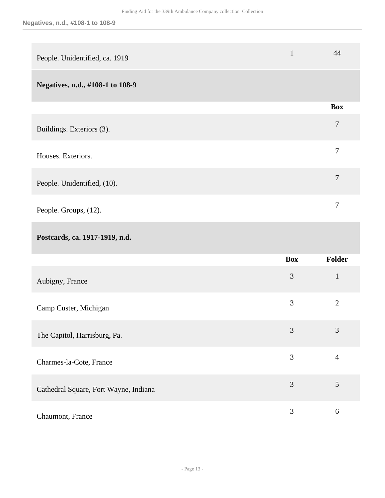| People. Unidentified, ca. 1919   | $\mathbf{1}$ | 44             |
|----------------------------------|--------------|----------------|
| Negatives, n.d., #108-1 to 108-9 |              |                |
|                                  |              | <b>Box</b>     |
| Buildings. Exteriors (3).        |              | $\overline{7}$ |
| Houses. Exteriors.               |              | 7              |
| People. Unidentified, (10).      |              | $\overline{7}$ |
| People. Groups, (12).            |              | 7              |

## **Postcards, ca. 1917-1919, n.d.**

|                                       | <b>Box</b> | <b>Folder</b>  |
|---------------------------------------|------------|----------------|
| Aubigny, France                       | 3          | $\mathbf{1}$   |
| Camp Custer, Michigan                 | 3          | $\overline{2}$ |
| The Capitol, Harrisburg, Pa.          | 3          | 3              |
| Charmes-la-Cote, France               | 3          | 4              |
| Cathedral Square, Fort Wayne, Indiana | 3          | 5              |
| Chaumont, France                      | 3          | 6              |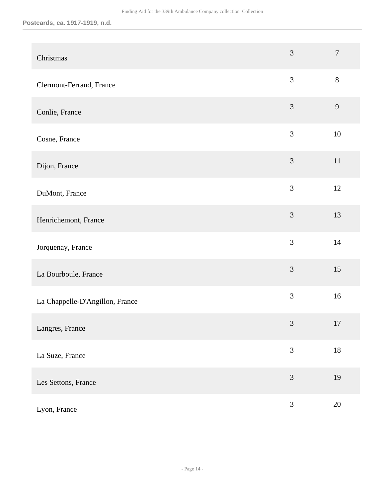| Christmas                       | $\overline{3}$ | $\overline{7}$ |
|---------------------------------|----------------|----------------|
| Clermont-Ferrand, France        | $\mathfrak{Z}$ | $8\,$          |
| Conlie, France                  | $\mathfrak{Z}$ | $\overline{9}$ |
| Cosne, France                   | 3              | 10             |
| Dijon, France                   | 3              | 11             |
| DuMont, France                  | $\overline{3}$ | 12             |
| Henrichemont, France            | 3              | 13             |
| Jorquenay, France               | 3              | 14             |
| La Bourboule, France            | 3              | 15             |
| La Chappelle-D'Angillon, France | 3              | 16             |
| Langres, France                 | $\mathfrak{Z}$ | 17             |
| La Suze, France                 | $\mathfrak{Z}$ | $18\,$         |
| Les Settons, France             | $\mathfrak{Z}$ | 19             |
| Lyon, France                    | $\mathfrak{Z}$ | 20             |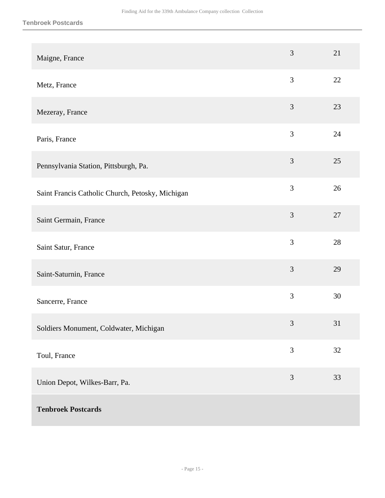| Maigne, France                                   | 3              | 21 |
|--------------------------------------------------|----------------|----|
| Metz, France                                     | 3              | 22 |
| Mezeray, France                                  | $\mathfrak{Z}$ | 23 |
| Paris, France                                    | 3              | 24 |
| Pennsylvania Station, Pittsburgh, Pa.            | $\overline{3}$ | 25 |
| Saint Francis Catholic Church, Petosky, Michigan | 3              | 26 |
| Saint Germain, France                            | 3              | 27 |
| Saint Satur, France                              | 3              | 28 |
| Saint-Saturnin, France                           | 3              | 29 |
| Sancerre, France                                 | 3              | 30 |
| Soldiers Monument, Coldwater, Michigan           | $\mathfrak{Z}$ | 31 |
| Toul, France                                     | 3              | 32 |
| Union Depot, Wilkes-Barr, Pa.                    | 3              | 33 |
| <b>Tenbroek Postcards</b>                        |                |    |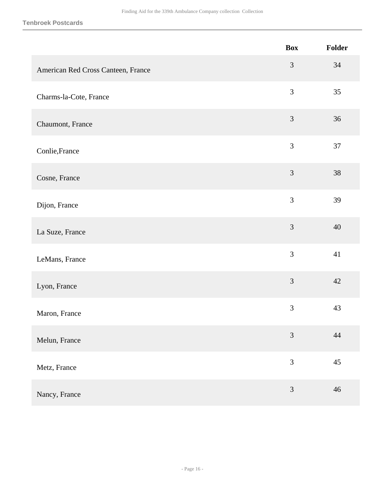**Tenbroek Postcards**

|                                    | <b>Box</b>     | Folder |
|------------------------------------|----------------|--------|
| American Red Cross Canteen, France | 3              | 34     |
| Charms-la-Cote, France             | 3              | 35     |
| Chaumont, France                   | 3              | 36     |
| Conlie, France                     | $\overline{3}$ | 37     |
| Cosne, France                      | 3              | 38     |
| Dijon, France                      | 3              | 39     |
| La Suze, France                    | 3              | 40     |
| LeMans, France                     | 3              | 41     |
| Lyon, France                       | 3              | 42     |
| Maron, France                      | 3              | 43     |
| Melun, France                      | $\overline{3}$ | $44\,$ |
| Metz, France                       | $\mathfrak{Z}$ | 45     |
| Nancy, France                      | 3              | 46     |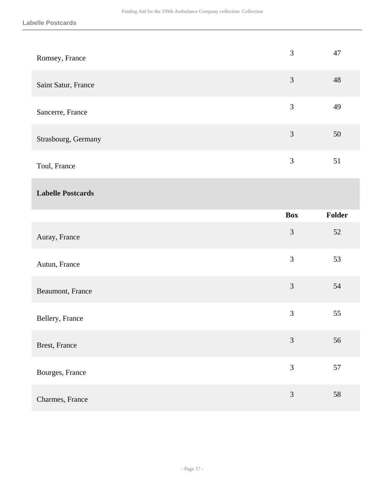| Romsey, France           | $\mathfrak{Z}$ | 47     |
|--------------------------|----------------|--------|
| Saint Satur, France      | 3              | 48     |
| Sancerre, France         | 3              | 49     |
| Strasbourg, Germany      | $\mathfrak{Z}$ | 50     |
| Toul, France             | 3              | 51     |
| <b>Labelle Postcards</b> |                |        |
|                          | <b>Box</b>     | Folder |
|                          |                |        |
| Auray, France            | $\mathfrak{Z}$ | 52     |
| Autun, France            | $\overline{3}$ | 53     |
| Beaumont, France         | 3              | 54     |
| Bellery, France          | 3              | 55     |
| Brest, France            | $\mathfrak{Z}$ | 56     |
| Bourges, France          | $\mathfrak{Z}$ | 57     |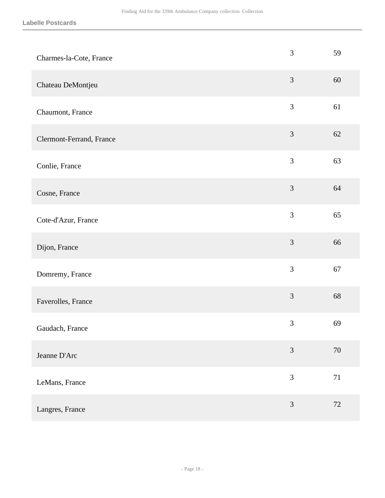| Charmes-la-Cote, France  | 3              | 59     |
|--------------------------|----------------|--------|
| Chateau DeMontjeu        | $\mathfrak{Z}$ | 60     |
| Chaumont, France         | 3              | 61     |
| Clermont-Ferrand, France | $\mathfrak{Z}$ | 62     |
| Conlie, France           | 3              | 63     |
| Cosne, France            | $\mathfrak{Z}$ | 64     |
| Cote-d'Azur, France      | 3              | 65     |
| Dijon, France            | 3              | 66     |
| Domremy, France          | 3              | 67     |
| Faverolles, France       | 3              | 68     |
| Gaudach, France          | 3              | 69     |
| Jeanne D'Arc             | $\mathfrak{Z}$ | 70     |
| LeMans, France           | 3              | $71\,$ |
| Langres, France          | 3              | 72     |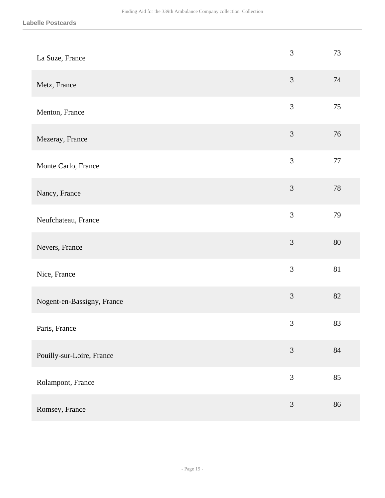| La Suze, France            | 3              | 73     |
|----------------------------|----------------|--------|
| Metz, France               | 3              | 74     |
| Menton, France             | 3              | 75     |
| Mezeray, France            | $\mathfrak{Z}$ | 76     |
| Monte Carlo, France        | $\overline{3}$ | $77\,$ |
| Nancy, France              | 3              | 78     |
| Neufchateau, France        | $\overline{3}$ | 79     |
| Nevers, France             | 3              | 80     |
| Nice, France               | 3              | 81     |
| Nogent-en-Bassigny, France | 3              | 82     |
| Paris, France              | 3              | 83     |
| Pouilly-sur-Loire, France  | $\mathfrak{Z}$ | 84     |
| Rolampont, France          | $\mathfrak{Z}$ | 85     |
| Romsey, France             | $\mathfrak{Z}$ | 86     |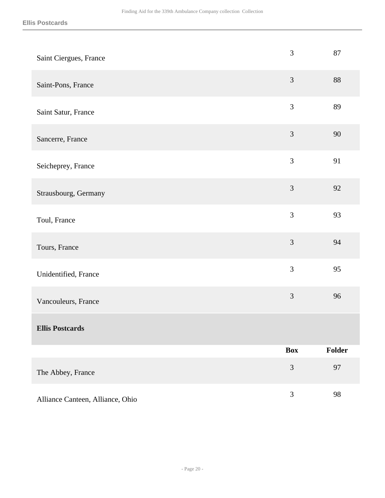| Saint Ciergues, France           | 3          | 87     |
|----------------------------------|------------|--------|
| Saint-Pons, France               | 3          | 88     |
| Saint Satur, France              | 3          | 89     |
| Sancerre, France                 | 3          | 90     |
| Seicheprey, France               | 3          | 91     |
| Strausbourg, Germany             | 3          | 92     |
| Toul, France                     | 3          | 93     |
| Tours, France                    | 3          | 94     |
| Unidentified, France             | 3          | 95     |
| Vancouleurs, France              | 3          | 96     |
| <b>Ellis Postcards</b>           |            |        |
|                                  | <b>Box</b> | Folder |
| The Abbey, France                | 3          | 97     |
| Alliance Canteen, Alliance, Ohio | 3          | 98     |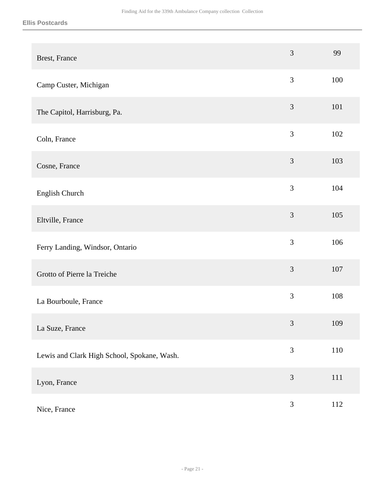| <b>Brest, France</b>                        | 3              | 99      |
|---------------------------------------------|----------------|---------|
| Camp Custer, Michigan                       | $\mathfrak{Z}$ | 100     |
| The Capitol, Harrisburg, Pa.                | $\mathfrak{Z}$ | 101     |
| Coln, France                                | 3              | 102     |
| Cosne, France                               | 3              | 103     |
| English Church                              | 3              | 104     |
| Eltville, France                            | 3              | 105     |
| Ferry Landing, Windsor, Ontario             | 3              | 106     |
| Grotto of Pierre la Treiche                 | 3              | 107     |
| La Bourboule, France                        | 3              | 108     |
| La Suze, France                             | $\mathfrak{Z}$ | 109     |
| Lewis and Clark High School, Spokane, Wash. | 3              | $110\,$ |
| Lyon, France                                | $\mathfrak{Z}$ | $111\,$ |
| Nice, France                                | $\mathfrak{Z}$ | 112     |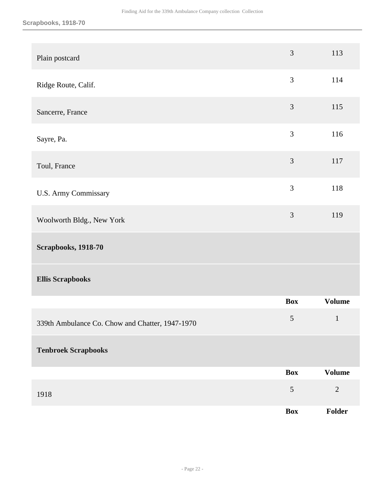| Plain postcard                                  | 3              | 113           |
|-------------------------------------------------|----------------|---------------|
| Ridge Route, Calif.                             | 3              | 114           |
| Sancerre, France                                | $\mathfrak{Z}$ | 115           |
| Sayre, Pa.                                      | $\overline{3}$ | 116           |
| Toul, France                                    | $\mathfrak{Z}$ | 117           |
| <b>U.S. Army Commissary</b>                     | 3              | 118           |
| Woolworth Bldg., New York                       | $\mathfrak{Z}$ | 119           |
| <b>Scrapbooks, 1918-70</b>                      |                |               |
| <b>Ellis Scrapbooks</b>                         |                |               |
|                                                 | <b>Box</b>     | <b>Volume</b> |
| 339th Ambulance Co. Chow and Chatter, 1947-1970 | $\sqrt{5}$     | $\mathbf{1}$  |
| <b>Tenbroek Scrapbooks</b>                      |                |               |
|                                                 | <b>Box</b>     | <b>Volume</b> |
| 1918                                            | $\sqrt{5}$     | $\mathbf{2}$  |
|                                                 | <b>Box</b>     | Folder        |